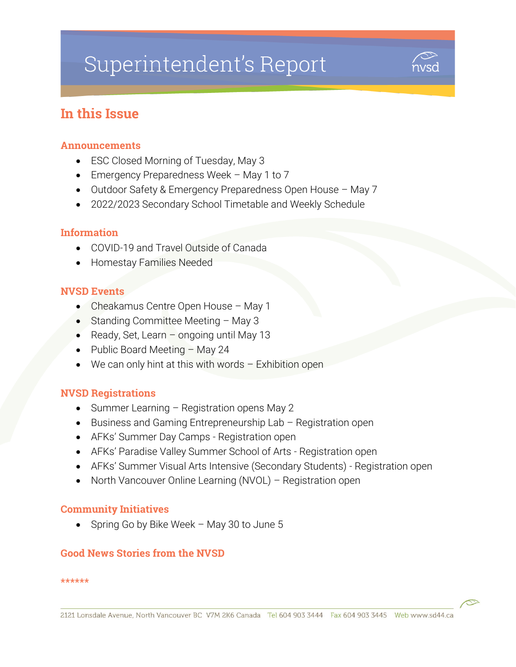# Superintendent's Report



# In this Issue

### Announcements

- ESC Closed Morning of Tuesday, May 3
- Emergency Preparedness Week May 1 to 7
- Outdoor Safety & Emergency Preparedness Open House May 7
- 2022/2023 Secondary School Timetable and Weekly Schedule

### Information

- COVID-19 and Travel Outside of Canada
- Homestay Families Needed

#### NVSD Events

- Cheakamus Centre Open House May 1
- Standing Committee Meeting May 3
- Ready, Set, Learn ongoing until May 13
- Public Board Meeting May 24
- $\bullet$  We can only hint at this with words Exhibition open

### NVSD Registrations

- Summer Learning Registration opens May 2
- Business and Gaming Entrepreneurship Lab Registration open
- AFKs' Summer Day Camps Registration open
- AFKs' Paradise Valley Summer School of Arts Registration open
- AFKs' Summer Visual Arts Intensive (Secondary Students) Registration open
- North Vancouver Online Learning (NVOL) Registration open

### Community Initiatives

• Spring Go by Bike Week – May 30 to June 5

### Good News Stories from the NVSD

#### \*\*\*\*\*\*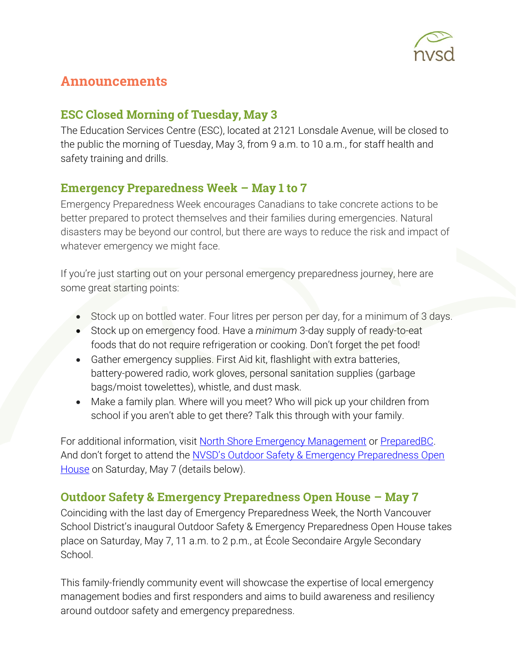

# Announcements

# ESC Closed Morning of Tuesday, May 3

The Education Services Centre (ESC), located at 2121 Lonsdale Avenue, will be closed to the public the morning of Tuesday, May 3, from 9 a.m. to 10 a.m., for staff health and safety training and drills.

# Emergency Preparedness Week – May 1 to 7

Emergency Preparedness Week encourages Canadians to take concrete actions to be better prepared to protect themselves and their families during emergencies. Natural disasters may be beyond our control, but there are ways to reduce the risk and impact of whatever emergency we might face.

If you're just starting out on your personal emergency preparedness journey, here are some great starting points:

- Stock up on bottled water. Four litres per person per day, for a minimum of 3 days.
- Stock up on emergency food. Have a *minimum* 3-day supply of ready-to-eat foods that do not require refrigeration or cooking. Don't forget the pet food!
- Gather emergency supplies. First Aid kit, flashlight with extra batteries, battery-powered radio, work gloves, personal sanitation supplies (garbage bags/moist towelettes), whistle, and dust mask.
- Make a family plan. Where will you meet? Who will pick up your children from school if you aren't able to get there? Talk this through with your family.

For additional information, visit [North Shore Emergency Management](https://nsem.ca/get-prepared) or [PreparedBC.](https://www2.gov.bc.ca/gov/content/safety/emergency-preparedness-response-recovery/preparedbc) And don't forget to attend the NVSD's Outdoor Safety & Emergency Preparedness Open [House](https://my44.sd44.ca/group/p6jr1eo/Pages/default.aspx#/=) on Saturday, May 7 (details below).

# Outdoor Safety & Emergency Preparedness Open House – May 7

Coinciding with the last day of Emergency Preparedness Week, the North Vancouver School District's inaugural Outdoor Safety & Emergency Preparedness Open House takes place on Saturday, May 7, 11 a.m. to 2 p.m., at École Secondaire Argyle Secondary School.

This family-friendly community event will showcase the expertise of local emergency management bodies and first responders and aims to build awareness and resiliency around outdoor safety and emergency preparedness.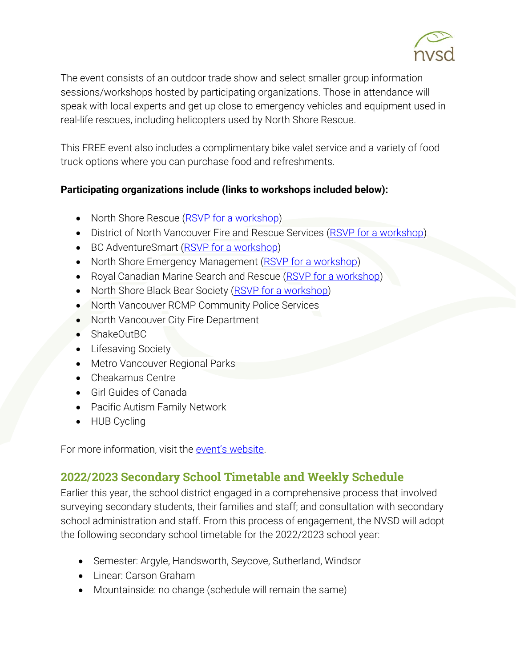

The event consists of an outdoor trade show and select smaller group information sessions/workshops hosted by participating organizations. Those in attendance will speak with local experts and get up close to emergency vehicles and equipment used in real-life rescues, including helicopters used by North Shore Rescue.

This FREE event also includes a complimentary bike valet service and a variety of food truck options where you can purchase food and refreshments.

### **Participating organizations include (links to workshops included below):**

- North Shore Rescue [\(RSVP for a workshop\)](https://www.eventbrite.ca/e/information-sessions-north-shore-rescue-tickets-320857542547)
- District of North Vancouver Fire and Rescue Services [\(RSVP for a workshop\)](https://www.eventbrite.ca/e/district-of-north-vancouver-fire-and-rescue-services-tickets-320838074317)
- BC AdventureSmart [\(RSVP for a workshop\)](https://www.eventbrite.ca/e/survive-outside-program-adventuresmart-bc-registration-317325738827)
- North Shore Emergency Management [\(RSVP for a workshop\)](https://www.eventbrite.ca/e/grab-and-go-bag-north-shore-emergency-management-tickets-320821173767)
- Royal Canadian Marine Search and Rescue [\(RSVP for a workshop\)](https://www.eventbrite.ca/e/information-sessions-royal-canadian-marine-search-and-rescue-tickets-320803039527)
- North Shore Black Bear Society [\(RSVP for a workshop\)](https://www.eventbrite.ca/e/all-about-bears-on-the-north-shore-north-shore-black-bear-society-registration-320792126887)
- North Vancouver RCMP Community Police Services
- North Vancouver City Fire Department
- ShakeOutBC
- Lifesaving Society
- Metro Vancouver Regional Parks
- Cheakamus Centre
- Girl Guides of Canada
- Pacific Autism Family Network
- HUB Cycling

For more information, visit the event's [website.](https://my44.sd44.ca/group/p6jr1eo/Pages/default.aspx#/=)

# 2022/2023 Secondary School Timetable and Weekly Schedule

Earlier this year, the school district engaged in a comprehensive process that involved surveying secondary students, their families and staff; and consultation with secondary school administration and staff. From this process of engagement, the NVSD will adopt the following secondary school timetable for the 2022/2023 school year:

- Semester: Argyle, Handsworth, Seycove, Sutherland, Windsor
- Linear: Carson Graham
- Mountainside: no change (schedule will remain the same)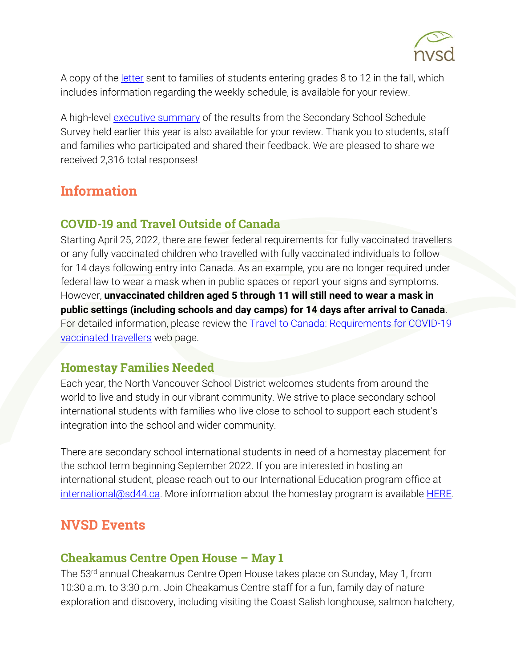

A copy of the [letter](https://www.sd44.ca/Documents/Superintendent%20Update%20Secondary%20School%20Schedule_20220414.pdf) sent to families of students entering grades 8 to 12 in the fall, which includes information regarding the weekly schedule, is available for your review.

A high-level [executive summary](https://www.sd44.ca/Documents/NVSD_Secondary%20School%20Schedule%20Survey%202022_Executive%20Summary.pdf) of the results from the Secondary School Schedule Survey held earlier this year is also available for your review. Thank you to students, staff and families who participated and shared their feedback. We are pleased to share we received 2,316 total responses!

# **Information**

## COVID-19 and Travel Outside of Canada

Starting April 25, 2022, there are fewer federal requirements for fully vaccinated travellers or any fully vaccinated children who travelled with fully vaccinated individuals to follow for 14 days following entry into Canada. As an example, you are no longer required under federal law to wear a mask when in public spaces or report your signs and symptoms. However, **unvaccinated children aged 5 through 11 will still need to wear a mask in public settings (including schools and day camps) for 14 days after arrival to Canada**. For detailed information, please review the **Travel to Canada: Requirements for COVID-19** [vaccinated travellers](https://travel.gc.ca/travel-covid/travel-restrictions/covid-vaccinated-travellers-entering-canada#determine-fully) web page.

# Homestay Families Needed

Each year, the North Vancouver School District welcomes students from around the world to live and study in our vibrant community. We strive to place secondary school international students with families who live close to school to support each student's integration into the school and wider community.

There are secondary school international students in need of a homestay placement for the school term beginning September 2022. If you are interested in hosting an international student, please reach out to our International Education program office at [international@sd44.ca.](mailto:international@sd44.ca) More information about the homestay program is available **HERE**.

# **NVSD Events**

## Cheakamus Centre Open House – May 1

The 53rd annual Cheakamus Centre Open House takes place on Sunday, May 1, from 10:30 a.m. to 3:30 p.m. Join Cheakamus Centre staff for a fun, family day of nature exploration and discovery, including visiting the Coast Salish longhouse, salmon hatchery,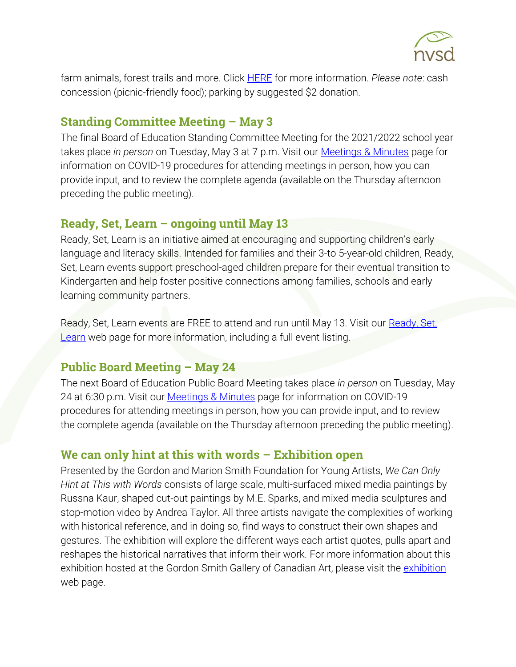

farm animals, forest trails and more. Click [HERE](https://www.cheakamuscentre.ca/news/open-house) for more information. *Please note*: cash concession (picnic-friendly food); parking by suggested \$2 donation.

### Standing Committee Meeting – May 3

The final Board of Education Standing Committee Meeting for the 2021/2022 school year takes place *in person* on Tuesday, May 3 at 7 p.m. Visit our [Meetings & Minutes](https://www.sd44.ca/Board/Meetings/Pages/default.aspx#/=) page for information on COVID-19 procedures for attending meetings in person, how you can provide input, and to review the complete agenda (available on the Thursday afternoon preceding the public meeting).

### **Ready, Set, Learn – ongoing until May 13**

Ready, Set, Learn is an initiative aimed at encouraging and supporting children's early language and literacy skills. Intended for families and their 3-to 5-year-old children, Ready, Set, Learn events support preschool-aged children prepare for their eventual transition to Kindergarten and help foster positive connections among families, schools and early learning community partners.

Ready, Set, Learn events are FREE to attend and run until May 13. Visit our Ready, Set, [Learn](https://www.sd44.ca/ProgramsServices/earlylearning/readysetlearn/Pages/default.aspx#/=) web page for more information, including a full event listing.

# **Public Board Meeting – May 24**

The next Board of Education Public Board Meeting takes place *in person* on Tuesday, May 24 at 6:30 p.m. Visit our [Meetings & Minutes](https://www.sd44.ca/Board/Meetings/Pages/default.aspx#/=) page for information on COVID-19 procedures for attending meetings in person, how you can provide input, and to review the complete agenda (available on the Thursday afternoon preceding the public meeting).

## We can only hint at this with words – Exhibition open

Presented by the Gordon and Marion Smith Foundation for Young Artists, *We Can Only Hint at This with Words* consists of large scale, multi-surfaced mixed media paintings by Russna Kaur, shaped cut-out paintings by M.E. Sparks, and mixed media sculptures and stop-motion video by Andrea Taylor. All three artists navigate the complexities of working with historical reference, and in doing so, find ways to construct their own shapes and gestures. The exhibition will explore the different ways each artist quotes, pulls apart and reshapes the historical narratives that inform their work. For more information about this exhibition hosted at the Gordon Smith Gallery of Canadian Art, please visit the [exhibition](https://www.sd44.ca/school/artistsforkids/Visit/Exhibitions/Pages/default.aspx#/=) web page.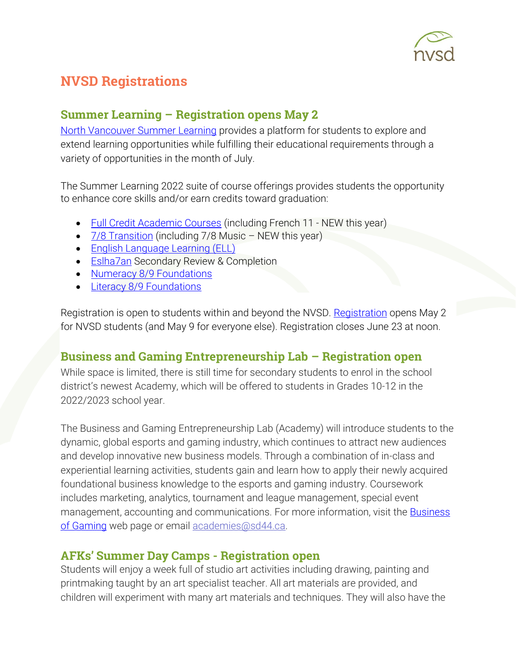

# NVSD Registrations

# Summer Learning – Registration opens May 2

[North Vancouver Summer Learning](https://www.sd44.ca/school/summer/Pages/default.aspx#/=) provides a platform for students to explore and extend learning opportunities while fulfilling their educational requirements through a variety of opportunities in the month of July.

The Summer Learning 2022 suite of course offerings provides students the opportunity to enhance core skills and/or earn credits toward graduation:

- [Full Credit Academic Courses](https://www.sd44.ca/school/summer/ProgramsServices/FullCredit/Pages/default.aspx#/=) (including French 11 NEW this year)
- $\frac{7}{8}$  Transition (including 7/8 Music NEW this year)
- [English Language Learning \(ELL\)](https://www.sd44.ca/school/summer/ProgramsServices/ELL/Pages/default.aspx#/=)
- **[Eslha7an](https://www.sd44.ca/school/summer/ProgramsServices/Pages/Eslha7an.aspx#/=) Secondary Review & Completion**
- [Numeracy 8/9 Foundations](https://www.sd44.ca/school/summer/ProgramsServices/Numeracy/Pages/default.aspx#/=)
- Literacy 8/9 [Foundations](https://www.sd44.ca/school/summer/ProgramsServices/Literacy/Pages/default.aspx#/=)

[Registration](https://www.sd44.ca/school/summer/Registration/Pages/default.aspx#/=) is open to students within and beyond the NVSD. Registration opens May 2 for NVSD students (and May 9 for everyone else). Registration closes June 23 at noon.

# Business and Gaming Entrepreneurship Lab – Registration open

While space is limited, there is still time for secondary students to enrol in the school district's newest Academy, which will be offered to students in Grades 10-12 in the 2022/2023 school year.

The Business and Gaming Entrepreneurship Lab (Academy) will introduce students to the dynamic, global esports and gaming industry, which continues to attract new audiences and develop innovative new business models. Through a combination of in-class and experiential learning activities, students gain and learn how to apply their newly acquired foundational business knowledge to the esports and gaming industry. Coursework includes marketing, analytics, tournament and league management, special event management, accounting and communications. For more information, visit the [Business](https://www.sd44.ca/ProgramsServices/Academies/Gaming/Pages/default.aspx#/=)  [of Gaming](https://www.sd44.ca/ProgramsServices/Academies/Gaming/Pages/default.aspx#/=) web page or email [academies@sd44.ca.](mailto:academies@sd44.ca)

### AFKs' Summer Day Camps - Registration open

Students will enjoy a week full of studio art activities including drawing, painting and printmaking taught by an art specialist teacher. All art materials are provided, and children will experiment with many art materials and techniques. They will also have the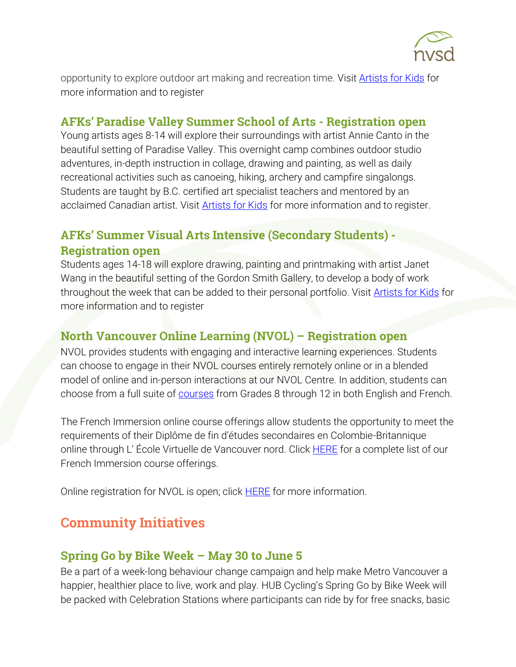

opportunity to explore outdoor art making and recreation time. Visit [Artists for Kids](https://www.sd44.ca/school/artistsforkids/learn/springandsummerdaycamps/Pages/default.aspx#/=) for more information and to register

### AFKs' Paradise Valley Summer School of Arts - Registration open

Young artists ages 8-14 will explore their surroundings with artist Annie Canto in the beautiful setting of Paradise Valley. This overnight camp combines outdoor studio adventures, in-depth instruction in collage, drawing and painting, as well as daily recreational activities such as canoeing, hiking, archery and campfire singalongs. Students are taught by B.C. certified art specialist teachers and mentored by an acclaimed Canadian artist. Visit [Artists for Kids](https://www.sd44.ca/school/artistsforkids/learn/paradisevalleysummervisualartscamps/Pages/default.aspx#/=) for more information and to register.

# AFKs' Summer Visual Arts Intensive (Secondary Students) - Registration open

Students ages 14-18 will explore drawing, painting and printmaking with artist Janet Wang in the beautiful setting of the Gordon Smith Gallery, to develop a body of work throughout the week that can be added to their personal portfolio. Visit [Artists for Kids](https://www.sd44.ca/school/artistsforkids/learn/springandsummerdaycamps/Pages/default.aspx#/=) for more information and to register

## North Vancouver Online Learning (NVOL) – Registration open

NVOL provides students with engaging and interactive learning experiences. Students can choose to engage in their NVOL courses entirely remotely online or in a blended model of online and in-person interactions at our NVOL Centre. In addition, students can choose from a full suite of [courses](https://www.sd44.ca/school/onlinelearning/ProgramsServices/Courses/Pages/default.aspx#/=) from Grades 8 through 12 in both English and French.

The French Immersion online course offerings allow students the opportunity to meet the requirements of their Diplôme de fin d'études secondaires en Colombie-Britannique online through L' École Virtuelle de Vancouver nord. Click [HERE](https://www.sd44.ca/school/onlinelearning/ProgramsServices/EcoleVirtuelle/Pages/default.aspx#/=) for a complete list of our French Immersion course offerings.

Online registration for NVOL is open; click **HERE** for more information.

# Community Initiatives

### Spring Go by Bike Week – May 30 to June 5

Be a part of a week-long behaviour change campaign and help make Metro Vancouver a happier, healthier place to live, work and play. HUB Cycling's Spring Go by Bike Week will be packed with Celebration Stations where participants can ride by for free snacks, basic